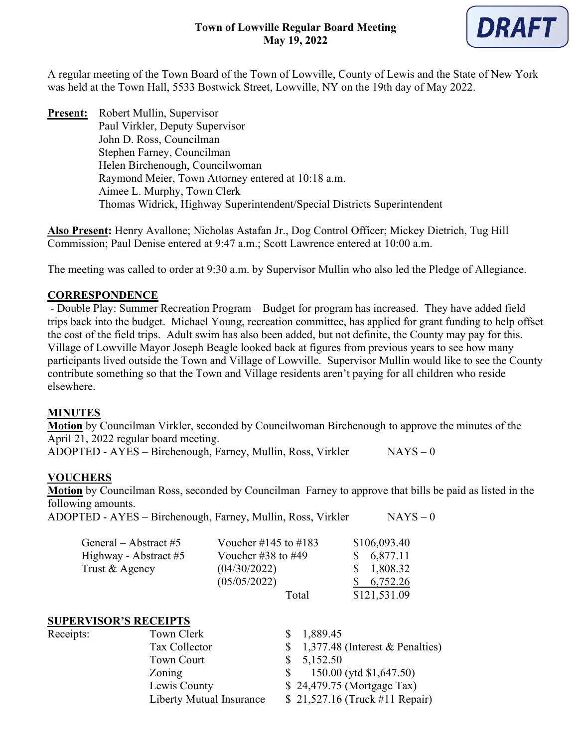

A regular meeting of the Town Board of the Town of Lowville, County of Lewis and the State of New York was held at the Town Hall, 5533 Bostwick Street, Lowville, NY on the 19th day of May 2022.

**Present:** Robert Mullin, Supervisor Paul Virkler, Deputy Supervisor John D. Ross, Councilman Stephen Farney, Councilman Helen Birchenough, Councilwoman Raymond Meier, Town Attorney entered at 10:18 a.m. Aimee L. Murphy, Town Clerk Thomas Widrick, Highway Superintendent/Special Districts Superintendent

**Also Present:** Henry Avallone; Nicholas Astafan Jr., Dog Control Officer; Mickey Dietrich, Tug Hill Commission; Paul Denise entered at 9:47 a.m.; Scott Lawrence entered at 10:00 a.m.

The meeting was called to order at 9:30 a.m. by Supervisor Mullin who also led the Pledge of Allegiance.

### **CORRESPONDENCE**

- Double Play: Summer Recreation Program – Budget for program has increased. They have added field trips back into the budget. Michael Young, recreation committee, has applied for grant funding to help offset the cost of the field trips. Adult swim has also been added, but not definite, the County may pay for this. Village of Lowville Mayor Joseph Beagle looked back at figures from previous years to see how many participants lived outside the Town and Village of Lowville. Supervisor Mullin would like to see the County contribute something so that the Town and Village residents aren't paying for all children who reside elsewhere.

#### **MINUTES**

**Motion** by Councilman Virkler, seconded by Councilwoman Birchenough to approve the minutes of the April 21, 2022 regular board meeting.

ADOPTED - AYES – Birchenough, Farney, Mullin, Ross, Virkler  $NAYS - 0$ 

## **VOUCHERS**

**Motion** by Councilman Ross, seconded by Councilman Farney to approve that bills be paid as listed in the following amounts.

ADOPTED - AYES – Birchenough, Farney, Mullin, Ross, Virkler NAYS – 0

| General – Abstract #5 | Voucher #145 to #183     | \$106,093.40  |
|-----------------------|--------------------------|---------------|
| Highway - Abstract #5 | Voucher $\#38$ to $\#49$ | \$6,877.11    |
| Trust & Agency        | (04/30/2022)             | \$1,808.32    |
|                       | (05/05/2022)             | $\, 6,752.26$ |
|                       | Total                    | \$121,531.09  |

#### **SUPERVISOR'S RECEIPTS**

| Receipts: | Town Clerk               | \$1,889.45                         |
|-----------|--------------------------|------------------------------------|
|           | Tax Collector            | $$1,377.48$ (Interest & Penalties) |
|           | <b>Town Court</b>        | \$5,152.50                         |
|           | Zoning                   | 150.00 (ytd \$1,647.50)            |
|           | Lewis County             | \$24,479.75 (Mortgage Tax)         |
|           | Liberty Mutual Insurance | \$21,527.16 (Truck #11 Repair)     |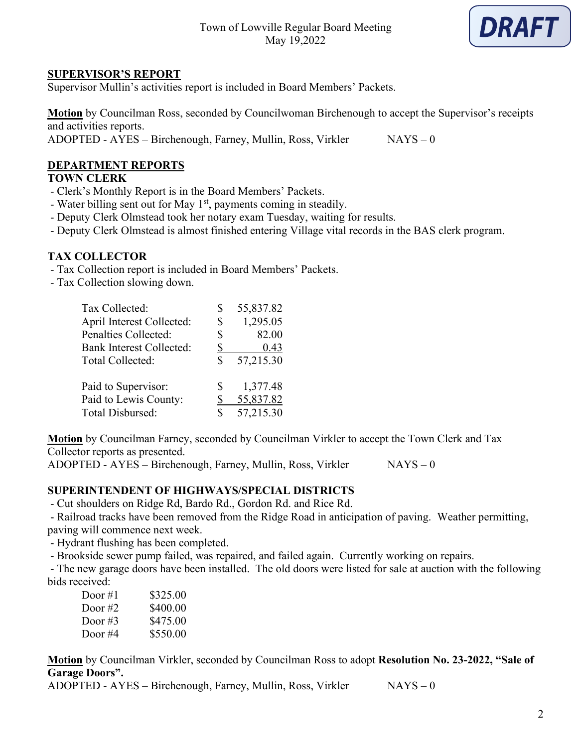

#### **SUPERVISOR'S REPORT**

Supervisor Mullin's activities report is included in Board Members' Packets.

**Motion** by Councilman Ross, seconded by Councilwoman Birchenough to accept the Supervisor's receipts and activities reports.

ADOPTED - AYES – Birchenough, Farney, Mullin, Ross, Virkler NAYS – 0

## **DEPARTMENT REPORTS**

# **TOWN CLERK**

- Clerk's Monthly Report is in the Board Members' Packets.
- Water billing sent out for May  $1<sup>st</sup>$ , payments coming in steadily.
- Deputy Clerk Olmstead took her notary exam Tuesday, waiting for results.
- Deputy Clerk Olmstead is almost finished entering Village vital records in the BAS clerk program.

#### **TAX COLLECTOR**

- Tax Collection report is included in Board Members' Packets.
- Tax Collection slowing down.

| Tax Collected:                                    | S        | 55,837.82         |
|---------------------------------------------------|----------|-------------------|
| April Interest Collected:<br>Penalties Collected: | \$<br>\$ | 1,295.05<br>82.00 |
| <b>Bank Interest Collected:</b>                   | \$       | 0.43              |
| Total Collected:                                  | S        | 57,215.30         |
| Paid to Supervisor:                               | S        | 1,377.48          |
| Paid to Lewis County:                             | \$       | 55,837.82         |
| Total Disbursed:                                  | \$       | 57,215.30         |

**Motion** by Councilman Farney, seconded by Councilman Virkler to accept the Town Clerk and Tax Collector reports as presented.

 $ADOPTED - AYES - Birchenough, Farney, Mullin, Ross, Virkler$  NAYS – 0

#### **SUPERINTENDENT OF HIGHWAYS/SPECIAL DISTRICTS**

- Cut shoulders on Ridge Rd, Bardo Rd., Gordon Rd. and Rice Rd.

- Railroad tracks have been removed from the Ridge Road in anticipation of paving. Weather permitting, paving will commence next week.

- Hydrant flushing has been completed.

- Brookside sewer pump failed, was repaired, and failed again. Currently working on repairs.

- The new garage doors have been installed. The old doors were listed for sale at auction with the following bids received:

| Door #1 | \$325.00 |
|---------|----------|
| Door #2 | \$400.00 |
| Door #3 | \$475.00 |
| Door #4 | \$550.00 |

**Motion** by Councilman Virkler, seconded by Councilman Ross to adopt **Resolution No. 23-2022, "Sale of Garage Doors".**

ADOPTED - AYES – Birchenough, Farney, Mullin, Ross, Virkler NAYS – 0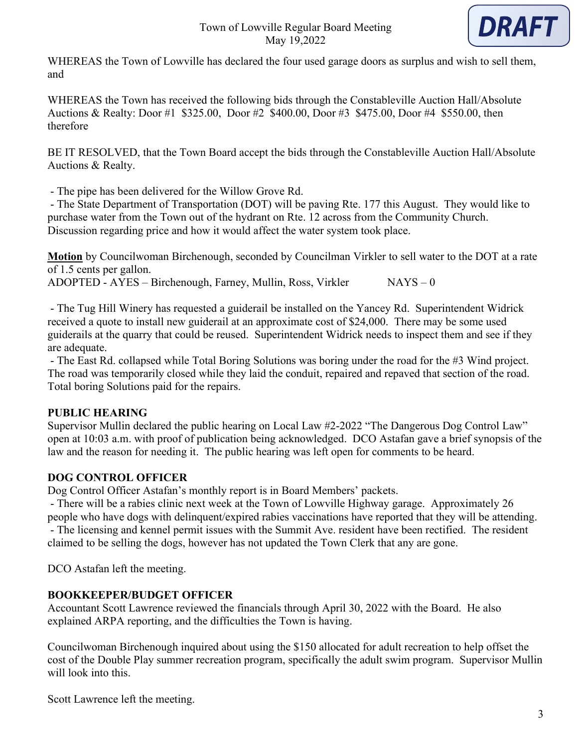

WHEREAS the Town of Lowville has declared the four used garage doors as surplus and wish to sell them, and

WHEREAS the Town has received the following bids through the Constableville Auction Hall/Absolute Auctions & Realty: Door #1 \$325.00, Door #2 \$400.00, Door #3 \$475.00, Door #4 \$550.00, then therefore

BE IT RESOLVED, that the Town Board accept the bids through the Constableville Auction Hall/Absolute Auctions & Realty.

- The pipe has been delivered for the Willow Grove Rd.

- The State Department of Transportation (DOT) will be paving Rte. 177 this August. They would like to purchase water from the Town out of the hydrant on Rte. 12 across from the Community Church. Discussion regarding price and how it would affect the water system took place.

**Motion** by Councilwoman Birchenough, seconded by Councilman Virkler to sell water to the DOT at a rate of 1.5 cents per gallon.

ADOPTED - AYES – Birchenough, Farney, Mullin, Ross, Virkler NAYS – 0

- The Tug Hill Winery has requested a guiderail be installed on the Yancey Rd. Superintendent Widrick received a quote to install new guiderail at an approximate cost of \$24,000. There may be some used guiderails at the quarry that could be reused. Superintendent Widrick needs to inspect them and see if they are adequate.

- The East Rd. collapsed while Total Boring Solutions was boring under the road for the #3 Wind project. The road was temporarily closed while they laid the conduit, repaired and repaved that section of the road. Total boring Solutions paid for the repairs.

## **PUBLIC HEARING**

Supervisor Mullin declared the public hearing on Local Law #2-2022 "The Dangerous Dog Control Law" open at 10:03 a.m. with proof of publication being acknowledged. DCO Astafan gave a brief synopsis of the law and the reason for needing it. The public hearing was left open for comments to be heard.

# **DOG CONTROL OFFICER**

Dog Control Officer Astafan's monthly report is in Board Members' packets.

- There will be a rabies clinic next week at the Town of Lowville Highway garage. Approximately 26 people who have dogs with delinquent/expired rabies vaccinations have reported that they will be attending. - The licensing and kennel permit issues with the Summit Ave. resident have been rectified. The resident

claimed to be selling the dogs, however has not updated the Town Clerk that any are gone.

DCO Astafan left the meeting.

# **BOOKKEEPER/BUDGET OFFICER**

Accountant Scott Lawrence reviewed the financials through April 30, 2022 with the Board. He also explained ARPA reporting, and the difficulties the Town is having.

Councilwoman Birchenough inquired about using the \$150 allocated for adult recreation to help offset the cost of the Double Play summer recreation program, specifically the adult swim program. Supervisor Mullin will look into this.

Scott Lawrence left the meeting.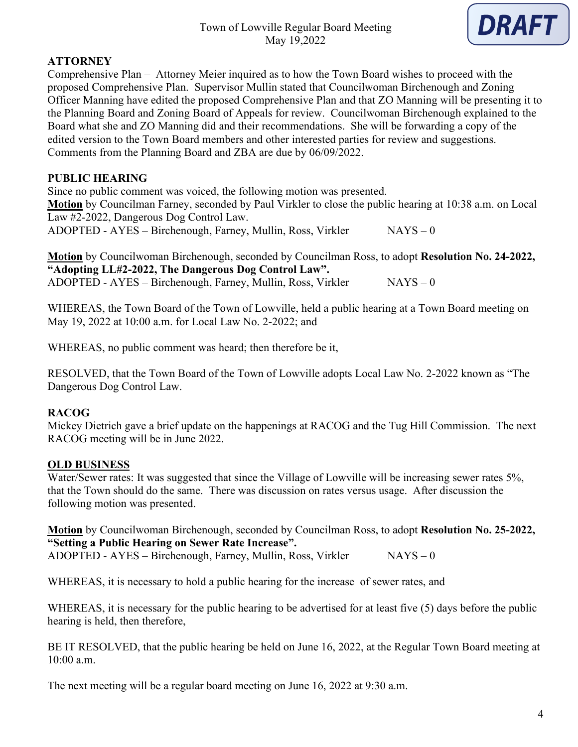

## **ATTORNEY**

Comprehensive Plan – Attorney Meier inquired as to how the Town Board wishes to proceed with the proposed Comprehensive Plan. Supervisor Mullin stated that Councilwoman Birchenough and Zoning Officer Manning have edited the proposed Comprehensive Plan and that ZO Manning will be presenting it to the Planning Board and Zoning Board of Appeals for review. Councilwoman Birchenough explained to the Board what she and ZO Manning did and their recommendations. She will be forwarding a copy of the edited version to the Town Board members and other interested parties for review and suggestions. Comments from the Planning Board and ZBA are due by 06/09/2022.

## **PUBLIC HEARING**

Since no public comment was voiced, the following motion was presented. **Motion** by Councilman Farney, seconded by Paul Virkler to close the public hearing at 10:38 a.m. on Local Law #2-2022, Dangerous Dog Control Law.

ADOPTED - AYES – Birchenough, Farney, Mullin, Ross, Virkler  $NAYS - 0$ 

**Motion** by Councilwoman Birchenough, seconded by Councilman Ross, to adopt **Resolution No. 24-2022, "Adopting LL#2-2022, The Dangerous Dog Control Law".** ADOPTED - AYES – Birchenough, Farney, Mullin, Ross, Virkler NAYS – 0

WHEREAS, the Town Board of the Town of Lowville, held a public hearing at a Town Board meeting on May 19, 2022 at 10:00 a.m. for Local Law No. 2-2022; and

WHEREAS, no public comment was heard; then therefore be it,

RESOLVED, that the Town Board of the Town of Lowville adopts Local Law No. 2-2022 known as "The Dangerous Dog Control Law.

## **RACOG**

Mickey Dietrich gave a brief update on the happenings at RACOG and the Tug Hill Commission. The next RACOG meeting will be in June 2022.

## **OLD BUSINESS**

Water/Sewer rates: It was suggested that since the Village of Lowville will be increasing sewer rates 5%, that the Town should do the same. There was discussion on rates versus usage. After discussion the following motion was presented.

**Motion** by Councilwoman Birchenough, seconded by Councilman Ross, to adopt **Resolution No. 25-2022, "Setting a Public Hearing on Sewer Rate Increase".**

ADOPTED - AYES – Birchenough, Farney, Mullin, Ross, Virkler  $NAYS - 0$ 

WHEREAS, it is necessary to hold a public hearing for the increase of sewer rates, and

WHEREAS, it is necessary for the public hearing to be advertised for at least five (5) days before the public hearing is held, then therefore,

BE IT RESOLVED, that the public hearing be held on June 16, 2022, at the Regular Town Board meeting at 10:00 a.m.

The next meeting will be a regular board meeting on June 16, 2022 at 9:30 a.m.